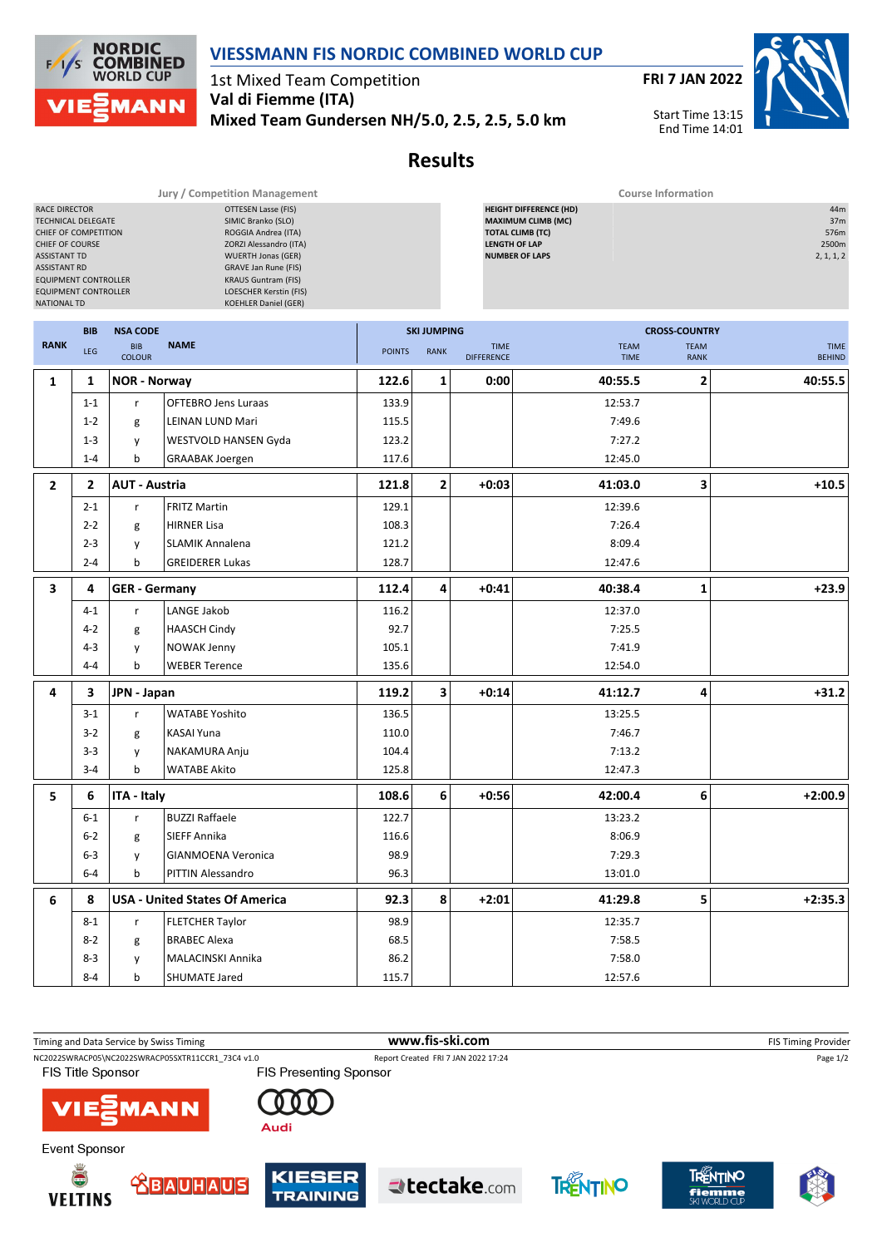

1st Mixed Team Competition **Val di Fiemme (ITA) Mixed Team Gundersen NH/5.0, 2.5, 2.5, 5.0 km** **FRI 7 JAN 2022**

Start Time 13:15 End Time 14:01



## **Results**

|                                                                                          |                                                                                                                                                                                                                                                                                                                                                                                                                                                                                                                                      | <b>Jury / Competition Management</b> | <b>Course Information</b>   |                    |                |                                           |                            |                            |                              |  |
|------------------------------------------------------------------------------------------|--------------------------------------------------------------------------------------------------------------------------------------------------------------------------------------------------------------------------------------------------------------------------------------------------------------------------------------------------------------------------------------------------------------------------------------------------------------------------------------------------------------------------------------|--------------------------------------|-----------------------------|--------------------|----------------|-------------------------------------------|----------------------------|----------------------------|------------------------------|--|
| <b>RACE DIRECTOR</b><br><b>ASSISTANT TD</b><br><b>ASSISTANT RD</b><br><b>NATIONAL TD</b> | <b>HEIGHT DIFFERENCE (HD)</b><br><b>OTTESEN Lasse (FIS)</b><br>SIMIC Branko (SLO)<br><b>MAXIMUM CLIMB (MC)</b><br>TECHNICAL DELEGATE<br><b>TOTAL CLIMB (TC)</b><br>CHIEF OF COMPETITION<br>ROGGIA Andrea (ITA)<br><b>LENGTH OF LAP</b><br>ZORZI Alessandro (ITA)<br><b>CHIEF OF COURSE</b><br><b>WUERTH Jonas (GER)</b><br><b>NUMBER OF LAPS</b><br><b>GRAVE Jan Rune (FIS)</b><br><b>KRAUS Guntram (FIS)</b><br><b>EQUIPMENT CONTROLLER</b><br>LOESCHER Kerstin (FIS)<br><b>EQUIPMENT CONTROLLER</b><br><b>KOEHLER Daniel (GER)</b> |                                      |                             |                    |                | 44m<br>37m<br>576m<br>2500m<br>2, 1, 1, 2 |                            |                            |                              |  |
|                                                                                          | <b>BIB</b>                                                                                                                                                                                                                                                                                                                                                                                                                                                                                                                           | <b>NSA CODE</b>                      |                             | <b>SKI JUMPING</b> |                |                                           |                            | <b>CROSS-COUNTRY</b>       |                              |  |
| <b>RANK</b>                                                                              | LEG                                                                                                                                                                                                                                                                                                                                                                                                                                                                                                                                  | <b>BIB</b><br><b>COLOUR</b>          | <b>NAME</b>                 | <b>POINTS</b>      | <b>RANK</b>    | <b>TIME</b><br><b>DIFFERENCE</b>          | <b>TEAM</b><br><b>TIME</b> | <b>TEAM</b><br><b>RANK</b> | <b>TIME</b><br><b>BEHIND</b> |  |
| $\mathbf{1}$                                                                             | 1                                                                                                                                                                                                                                                                                                                                                                                                                                                                                                                                    | <b>NOR - Norway</b>                  |                             | 122.6              | 1              | 0:00                                      | 40:55.5                    | $\mathbf{2}$               | 40:55.5                      |  |
|                                                                                          | $1 - 1$                                                                                                                                                                                                                                                                                                                                                                                                                                                                                                                              | $\mathsf{r}$                         | <b>OFTEBRO Jens Luraas</b>  | 133.9              |                |                                           | 12:53.7                    |                            |                              |  |
|                                                                                          | $1 - 2$                                                                                                                                                                                                                                                                                                                                                                                                                                                                                                                              | g                                    | LEINAN LUND Mari            | 115.5              |                |                                           | 7:49.6                     |                            |                              |  |
|                                                                                          | $1 - 3$                                                                                                                                                                                                                                                                                                                                                                                                                                                                                                                              | y                                    | <b>WESTVOLD HANSEN Gyda</b> | 123.2              |                |                                           | 7:27.2                     |                            |                              |  |
|                                                                                          | $1 - 4$                                                                                                                                                                                                                                                                                                                                                                                                                                                                                                                              | b                                    | <b>GRAABAK Joergen</b>      | 117.6              |                |                                           | 12:45.0                    |                            |                              |  |
| $\overline{2}$                                                                           | $\overline{2}$                                                                                                                                                                                                                                                                                                                                                                                                                                                                                                                       | <b>AUT - Austria</b>                 |                             | 121.8              | $\overline{2}$ | $+0:03$                                   | 41:03.0                    | 3                          | $+10.5$                      |  |
|                                                                                          | $2 - 1$                                                                                                                                                                                                                                                                                                                                                                                                                                                                                                                              | $\mathsf{r}$                         | <b>FRITZ Martin</b>         | 129.1              |                |                                           | 12:39.6                    |                            |                              |  |
|                                                                                          | $2 - 2$                                                                                                                                                                                                                                                                                                                                                                                                                                                                                                                              | g                                    | <b>HIRNER Lisa</b>          | 108.3              |                |                                           | 7:26.4                     |                            |                              |  |
|                                                                                          | $2 - 3$                                                                                                                                                                                                                                                                                                                                                                                                                                                                                                                              | y                                    | <b>SLAMIK Annalena</b>      | 121.2              |                |                                           | 8:09.4                     |                            |                              |  |
|                                                                                          | $2 - 4$                                                                                                                                                                                                                                                                                                                                                                                                                                                                                                                              | $\mathsf{b}$                         | <b>GREIDERER Lukas</b>      | 128.7              |                |                                           | 12:47.6                    |                            |                              |  |
| 3                                                                                        | 4                                                                                                                                                                                                                                                                                                                                                                                                                                                                                                                                    | <b>GER</b> - Germany                 |                             | 112.4              | 4              | $+0:41$                                   | 40:38.4                    | 1                          | $+23.9$                      |  |
|                                                                                          | $4 - 1$                                                                                                                                                                                                                                                                                                                                                                                                                                                                                                                              | $\mathsf{r}$                         | LANGE Jakob                 | 116.2              |                |                                           | 12:37.0                    |                            |                              |  |
|                                                                                          | $4 - 2$                                                                                                                                                                                                                                                                                                                                                                                                                                                                                                                              | g                                    | <b>HAASCH Cindy</b>         | 92.7               |                |                                           | 7:25.5                     |                            |                              |  |
|                                                                                          | $4 - 3$                                                                                                                                                                                                                                                                                                                                                                                                                                                                                                                              | y                                    | <b>NOWAK Jenny</b>          | 105.1              |                |                                           | 7:41.9                     |                            |                              |  |
|                                                                                          | 4-4                                                                                                                                                                                                                                                                                                                                                                                                                                                                                                                                  | b                                    | <b>WEBER Terence</b>        | 135.6              |                |                                           | 12:54.0                    |                            |                              |  |
| 4                                                                                        | 3                                                                                                                                                                                                                                                                                                                                                                                                                                                                                                                                    | JPN - Japan                          |                             | 119.2              | 3              | $+0:14$                                   | 41:12.7                    | 4                          | $+31.2$                      |  |
|                                                                                          | $3-1$                                                                                                                                                                                                                                                                                                                                                                                                                                                                                                                                | $\mathsf{r}$                         | <b>WATABE Yoshito</b>       | 136.5              |                |                                           | 13:25.5                    |                            |                              |  |
|                                                                                          | $3-2$                                                                                                                                                                                                                                                                                                                                                                                                                                                                                                                                | g                                    | KASAI Yuna                  | 110.0              |                |                                           | 7:46.7                     |                            |                              |  |
|                                                                                          | $3 - 3$                                                                                                                                                                                                                                                                                                                                                                                                                                                                                                                              | y                                    | NAKAMURA Anju               | 104.4              |                |                                           | 7:13.2                     |                            |                              |  |
|                                                                                          | $3 - 4$                                                                                                                                                                                                                                                                                                                                                                                                                                                                                                                              | $\mathbf b$                          | <b>WATABE Akito</b>         | 125.8              |                |                                           | 12:47.3                    |                            |                              |  |

| Timing and Data Service by Swiss Timing           |                               | www.fis-ski.com                     |          | <b>FIS Timing Provider</b> |
|---------------------------------------------------|-------------------------------|-------------------------------------|----------|----------------------------|
| NC2022SWRACP05\NC2022SWRACP05SXTR11CCR1 73C4 v1.0 |                               | Report Created FRI 7 JAN 2022 17:24 |          | Page 1/2                   |
| <b>FIS Title Sponsor</b>                          | <b>FIS Presenting Sponsor</b> |                                     |          |                            |
| <b>VIE MANN</b>                                   | Audi                          |                                     |          |                            |
| Event Sponsor                                     |                               |                                     |          |                            |
| Ŏ<br><b>SBAUHAUS</b>                              | <b>KIESER</b>                 | tectake.com                         | TRENTINO |                            |

**5 6 ITA - Italy 108.6 6 +0:56 42:00.4 6 +2:00.9**

**6 8 USA - United States Of America 92.3 8 +2:01 41:29.8 5 +2:35.3**

6-1 r BUZZI Raffaele 122.7 13:23.2 6-2 g SIEFF Annika 116.6 116.6 and 116.6 and 116.6 and 116.6 and 116.6 and 116.6 and 116.6 and 116.6 and 116.6 6-3 y GIANMOENA Veronica | 98.9 | | | 7:29.3 6-4 b PITTIN Alessandro 96.3 13:01.0

8-1 r FLETCHER Taylor 12:35.7 8-2 g BRABEC Alexa (68.5 cm  $\sim$  68.5 cm  $\sim$  7:58.5 8-3 y MALACINSKI Annika 86.2 7:58.0 8-4 b SHUMATE Jared 115.7 15.7 12:57.6